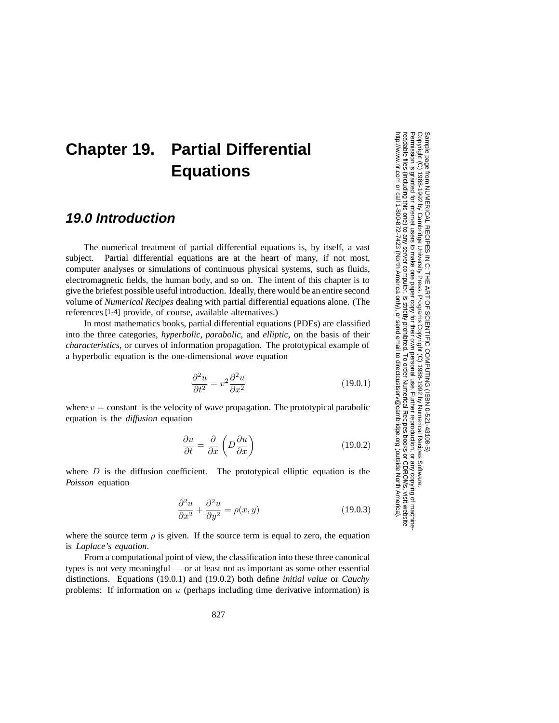# **Chapter 19. Partial Differential Equations**

## **19.0 Introduction**

The numerical treatment of partial differential equations is, by itself, a vast subject. Partial differential equations are at the heart of many, if not most, computer analyses or simulations of continuous physical systems, such as fluids, electromagnetic fields, the human body, and so on. The intent of this chapter is to give the briefest possible useful introduction. Ideally, there would be an entire second volume of *Numerical Recipes* dealing with partial differential equations alone. (The references [1-4] provide, of course, available alternatives.)

In most mathematics books, partial differential equations (PDEs) are classified into the three categories, *hyperbolic, parabolic,* and *elliptic*, on the basis of their *characteristics*, or curves of information propagation. The prototypical example of a hyperbolic equation is the one-dimensional *wave* equation

$$
\frac{\partial^2 u}{\partial t^2} = v^2 \frac{\partial^2 u}{\partial x^2}
$$
 (19.0.1)

where  $v = constant$  is the velocity of wave propagation. The prototypical parabolic equation is the *diffusion* equation

$$
\frac{\partial u}{\partial t} = \frac{\partial}{\partial x} \left( D \frac{\partial u}{\partial x} \right) \tag{19.0.2}
$$

where  $D$  is the diffusion coefficient. The prototypical elliptic equation is the *Poisson* equation

$$
\frac{\partial^2 u}{\partial x^2} + \frac{\partial^2 u}{\partial y^2} = \rho(x, y)
$$
\n(19.0.3)

where the source term  $\rho$  is given. If the source term is equal to zero, the equation is *Laplace's equation*.

From a computational point of view, the classification into these three canonical types is not very meaningful — or at least not as important as some other essential distinctions. Equations (19.0.1) and (19.0.2) both define *initial value* or *Cauchy* problems: If information on  $u$  (perhaps including time derivative information) is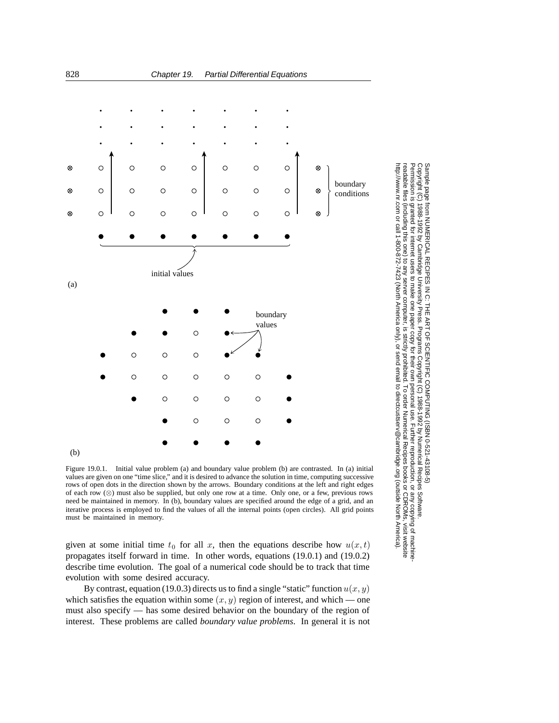

Figure 19.0.1. Initial value problem (a) and boundary value problem (b) are contrasted. In (a) initial values are given on one "time slice," and it is desired to advance the solution in time, computing successive rows of open dots in the direction shown by the arrows. Boundary conditions at the left and right edges of each row (⊗) must also be supplied, but only one row at a time. Only one, or a few, previous rows need be maintained in memory. In (b), boundary values are specified around the edge of a grid, and an iterative process is employed to find the values of all the internal points (open circles). All grid points must be maintained in memory.

 $\circ$ 

 $\bigcirc$ 

 $\circ$ 

(b)

given at some initial time  $t_0$  for all x, then the equations describe how  $u(x, t)$ propagates itself forward in time. In other words, equations (19.0.1) and (19.0.2) describe time evolution. The goal of a numerical code should be to track that time evolution with some desired accuracy.

By contrast, equation (19.0.3) directs us to find a single "static" function  $u(x, y)$ which satisfies the equation within some  $(x, y)$  region of interest, and which — one must also specify — has some desired behavior on the boundary of the region of interest. These problems are called *boundary value problems*. In general it is not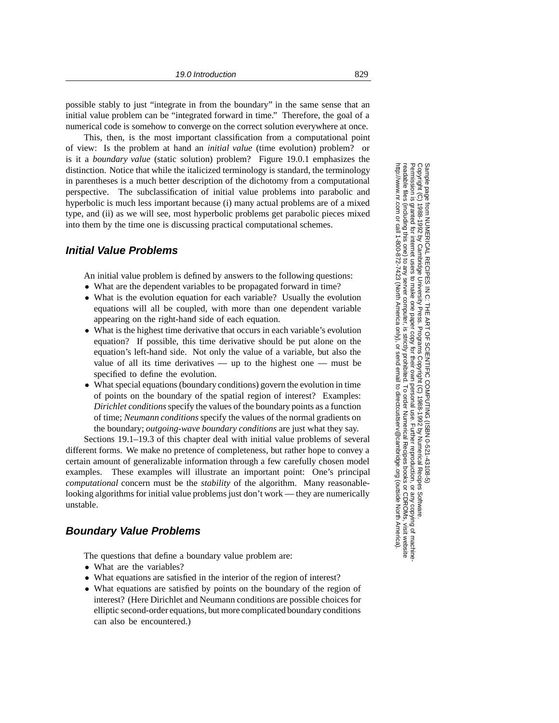possible stably to just "integrate in from the boundary" in the same sense that an initial value problem can be "integrated forward in time." Therefore, the goal of a numerical code is somehow to converge on the correct solution everywhere at once.

This, then, is the most important classification from a computational point of view: Is the problem at hand an *initial value* (time evolution) problem? or is it a *boundary value* (static solution) problem? Figure 19.0.1 emphasizes the distinction. Notice that while the italicized terminology is standard, the terminology in parentheses is a much better description of the dichotomy from a computational perspective. The subclassification of initial value problems into parabolic and hyperbolic is much less important because (i) many actual problems are of a mixed type, and (ii) as we will see, most hyperbolic problems get parabolic pieces mixed into them by the time one is discussing practical computational schemes.

### **Initial Value Problems**

An initial value problem is defined by answers to the following questions:

- What are the dependent variables to be propagated forward in time?
- What is the evolution equation for each variable? Usually the evolution equations will all be coupled, with more than one dependent variable appearing on the right-hand side of each equation.
- What is the highest time derivative that occurs in each variable's evolution equation? If possible, this time derivative should be put alone on the equation's left-hand side. Not only the value of a variable, but also the value of all its time derivatives — up to the highest one — must be specified to define the evolution.
- What special equations (boundary conditions) govern the evolution in time of points on the boundary of the spatial region of interest? Examples: *Dirichlet conditions*specify the values of the boundary points as a function of time; *Neumann conditions*specify the values of the normal gradients on the boundary; *outgoing-wave boundary conditions* are just what they say.

Sections 19.1–19.3 of this chapter deal with initial value problems of several different forms. We make no pretence of completeness, but rather hope to convey a certain amount of generalizable information through a few carefully chosen model examples. These examples will illustrate an important point: One's principal *computational* concern must be the *stability* of the algorithm. Many reasonablelooking algorithms for initial value problems just don't work — they are numerically unstable.

#### **Boundary Value Problems**

The questions that define a boundary value problem are:

- What are the variables?
- What equations are satisfied in the interior of the region of interest?
- What equations are satisfied by points on the boundary of the region of interest? (Here Dirichlet and Neumann conditions are possible choices for elliptic second-order equations, but more complicated boundary conditions can also be encountered.)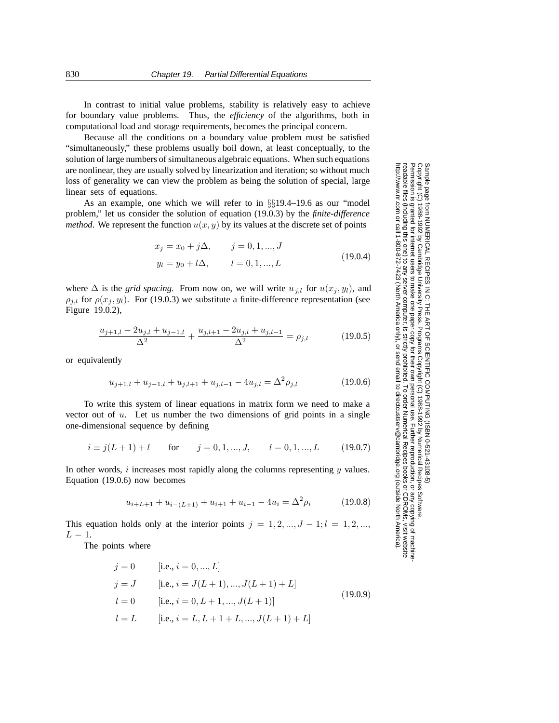In contrast to initial value problems, stability is relatively easy to achieve for boundary value problems. Thus, the *efficiency* of the algorithms, both in computational load and storage requirements, becomes the principal concern.

Because all the conditions on a boundary value problem must be satisfied "simultaneously," these problems usually boil down, at least conceptually, to the solution of large numbers of simultaneous algebraic equations. When such equations are nonlinear, they are usually solved by linearization and iteration; so without much loss of generality we can view the problem as being the solution of special, large linear sets of equations.

As an example, one which we will refer to in §§19.4–19.6 as our "model problem," let us consider the solution of equation (19.0.3) by the *finite-difference method*. We represent the function  $u(x, y)$  by its values at the discrete set of points

$$
x_j = x_0 + j\Delta, \qquad j = 0, 1, ..., J
$$
  
\n
$$
y_l = y_0 + l\Delta, \qquad l = 0, 1, ..., L
$$
\n(19.0.4)

where  $\Delta$  is the *grid spacing*. From now on, we will write  $u_{j,l}$  for  $u(x_j, y_l)$ , and  $\rho_{j,l}$  for  $\rho(x_j, y_l)$ . For (19.0.3) we substitute a finite-difference representation (see Figure 19.0.2),

$$
\frac{u_{j+1,l} - 2u_{j,l} + u_{j-1,l}}{\Delta^2} + \frac{u_{j,l+1} - 2u_{j,l} + u_{j,l-1}}{\Delta^2} = \rho_{j,l}
$$
(19.0.5)

or equivalently

$$
u_{j+1,l} + u_{j-1,l} + u_{j,l+1} + u_{j,l-1} - 4u_{j,l} = \Delta^2 \rho_{j,l}
$$
\n(19.0.6)

To write this system of linear equations in matrix form we need to make a vector out of  $u$ . Let us number the two dimensions of grid points in a single one-dimensional sequence by defining

$$
i \equiv j(L+1) + l
$$
 for  $j = 0, 1, ..., J,$   $l = 0, 1, ..., L$  (19.0.7)

In other words, i increases most rapidly along the columns representing  $y$  values. Equation (19.0.6) now becomes

$$
u_{i+L+1} + u_{i-(L+1)} + u_{i+1} + u_{i-1} - 4u_i = \Delta^2 \rho_i \tag{19.0.8}
$$

This equation holds only at the interior points  $j = 1, 2, ..., J - 1; l = 1, 2, ...,$  $L-1$ .

The points where

$$
j = 0 \qquad [i.e., i = 0, ..., L]
$$
  
\n
$$
j = J \qquad [i.e., i = J(L + 1), ..., J(L + 1) + L]
$$
  
\n
$$
l = 0 \qquad [i.e., i = 0, L + 1, ..., J(L + 1)]
$$
  
\n
$$
l = L \qquad [i.e., i = L, L + 1 + L, ..., J(L + 1) + L]
$$
\n(19.0.9)

Sample page t<br>Copyright (C)<br>Permission is g Copyright (C) 1988-1992 by Cambridge University Press.Sample page from NUMERICAL RECIPES IN C: THE ART OF SCIENTIFIC COMPUTING (ISBN 0-521-43108-5) http://www.nr.com or call 1-800-872-7423 (North America only),readable files (including this one) to any serverPermission is granted for internet users to make one paper copy for their own personal use. Further reproduction, or any copyin from NUMERICAL RECIPES IN C. THE ART OF SCIENTIFIC COMPUTING (ISBN 0-521-43108-5)<br>1988-1992 by Cambridge University Press. Programs Copyright (C) 1989-1992 by Numnerical Recipes Software computer, is strictly prohibited. To order Numerical Recipes booksPrograms Copyright (C) 1988-1992 by Numerical Recipes Software. or send email to directcustserv@cambridge.org (outside North America). or CDROMs, visit website g of machine-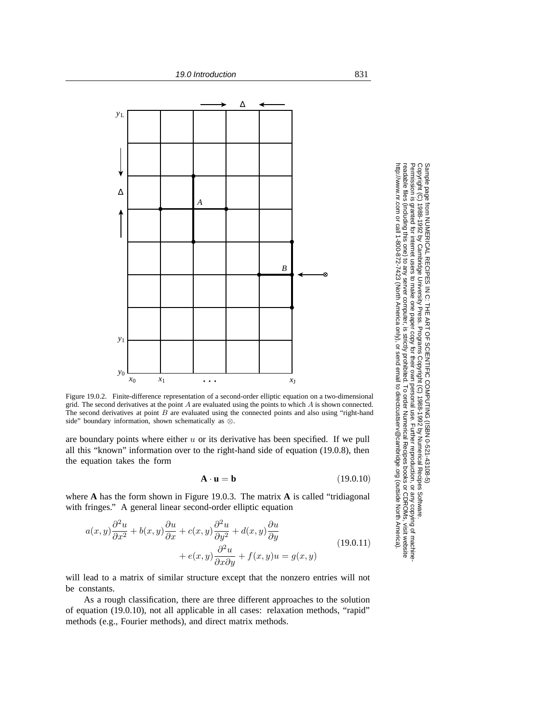

Figure 19.0.2. Finite-difference representation of a second-order elliptic equation on a two-dimensional grid. The second derivatives at the point *A* are evaluated using the points to which *A* is shown connected. The second derivatives at point *B* are evaluated using the connected points and also using "right-hand side" boundary information, shown schematically as  $\otimes$ .

are boundary points where either  $u$  or its derivative has been specified. If we pull all this "known" information over to the right-hand side of equation (19.0.8), then the equation takes the form

$$
\mathbf{A} \cdot \mathbf{u} = \mathbf{b} \tag{19.0.10}
$$

where **A** has the form shown in Figure 19.0.3. The matrix **A** is called "tridiagonal with fringes." A general linear second-order elliptic equation

$$
a(x,y)\frac{\partial^2 u}{\partial x^2} + b(x,y)\frac{\partial u}{\partial x} + c(x,y)\frac{\partial^2 u}{\partial y^2} + d(x,y)\frac{\partial u}{\partial y} + e(x,y)\frac{\partial^2 u}{\partial x \partial y} + f(x,y)u = g(x,y)
$$
\n(19.0.11)

will lead to a matrix of similar structure except that the nonzero entries will not be constants.

As a rough classification, there are three different approaches to the solution of equation (19.0.10), not all applicable in all cases: relaxation methods, "rapid" methods (e.g., Fourier methods), and direct matrix methods.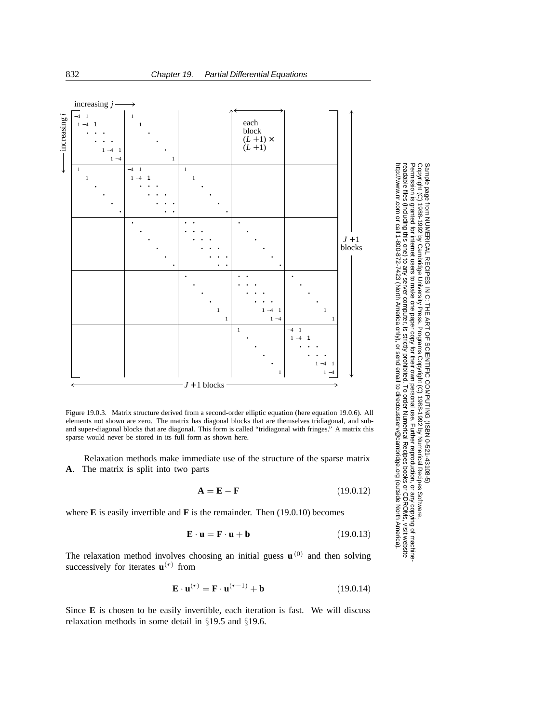

Figure 19.0.3. Matrix structure derived from a second-order elliptic equation (here equation 19.0.6). All elements not shown are zero. The matrix has diagonal blocks that are themselves tridiagonal, and suband super-diagonal blocks that are diagonal. This form is called "tridiagonal with fringes." A matrix this sparse would never be stored in its full form as shown here.

Relaxation methods make immediate use of the structure of the sparse matrix **A**. The matrix is split into two parts

$$
\mathbf{A} = \mathbf{E} - \mathbf{F} \tag{19.0.12}
$$

where **E** is easily invertible and **F** is the remainder. Then (19.0.10) becomes

$$
\mathbf{E} \cdot \mathbf{u} = \mathbf{F} \cdot \mathbf{u} + \mathbf{b} \tag{19.0.13}
$$

The relaxation method involves choosing an initial guess  $\mathbf{u}^{(0)}$  and then solving successively for iterates  $\mathbf{u}^{(r)}$  from

$$
\mathbf{E} \cdot \mathbf{u}^{(r)} = \mathbf{F} \cdot \mathbf{u}^{(r-1)} + \mathbf{b} \tag{19.0.14}
$$

Since **E** is chosen to be easily invertible, each iteration is fast. We will discuss relaxation methods in some detail in §19.5 and §19.6.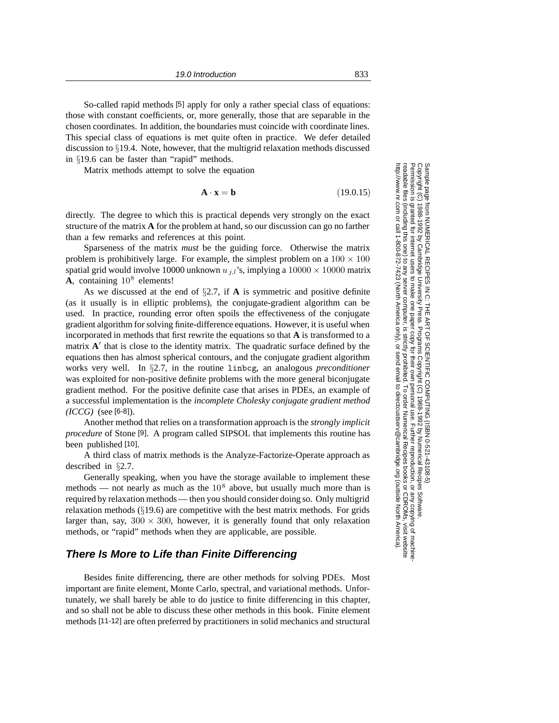So-called rapid methods [5] apply for only a rather special class of equations: those with constant coefficients, or, more generally, those that are separable in the chosen coordinates. In addition, the boundaries must coincide with coordinate lines. This special class of equations is met quite often in practice. We defer detailed discussion to §19.4. Note, however, that the multigrid relaxation methods discussed in §19.6 can be faster than "rapid" methods.

Matrix methods attempt to solve the equation

$$
\mathbf{A} \cdot \mathbf{x} = \mathbf{b} \tag{19.0.15}
$$

directly. The degree to which this is practical depends very strongly on the exact structure of the matrix **A** for the problem at hand, so our discussion can go no farther than a few remarks and references at this point.

Sparseness of the matrix *must* be the guiding force. Otherwise the matrix problem is prohibitively large. For example, the simplest problem on a  $100 \times 100$ spatial grid would involve 10000 unknown  $u_{j,l}$ 's, implying a  $10000 \times 10000$  matrix  $A$ , containing  $10<sup>8</sup>$  elements!

As we discussed at the end of §2.7, if **A** is symmetric and positive definite (as it usually is in elliptic problems), the conjugate-gradient algorithm can be used. In practice, rounding error often spoils the effectiveness of the conjugate gradient algorithm for solving finite-difference equations. However, it is useful when incorporated in methods that first rewrite the equations so that **A** is transformed to a matrix  $A'$  that is close to the identity matrix. The quadratic surface defined by the equations then has almost spherical contours, and the conjugate gradient algorithm works very well. In §2.7, in the routine linbcg, an analogous *preconditioner* was exploited for non-positive definite problems with the more general biconjugate gradient method. For the positive definite case that arises in PDEs, an example of a successful implementation is the *incomplete Cholesky conjugate gradient method (ICCG)* (see [6-8]).

Another method that relies on a transformation approach is the *strongly implicit procedure* of Stone [9]. A program called SIPSOL that implements this routine has been published [10].

A third class of matrix methods is the Analyze-Factorize-Operate approach as described in §2.7.

Generally speaking, when you have the storage available to implement these methods — not nearly as much as the  $10^8$  above, but usually much more than is required by relaxation methods — then you should consider doing so. Only multigrid relaxation methods  $(\S19.6)$  are competitive with the best matrix methods. For grids larger than, say,  $300 \times 300$ , however, it is generally found that only relaxation methods, or "rapid" methods when they are applicable, are possible.

#### **There Is More to Life than Finite Differencing**

Besides finite differencing, there are other methods for solving PDEs. Most important are finite element, Monte Carlo, spectral, and variational methods. Unfortunately, we shall barely be able to do justice to finite differencing in this chapter, and so shall not be able to discuss these other methods in this book. Finite element methods [11-12] are often preferred by practitioners in solid mechanics and structural